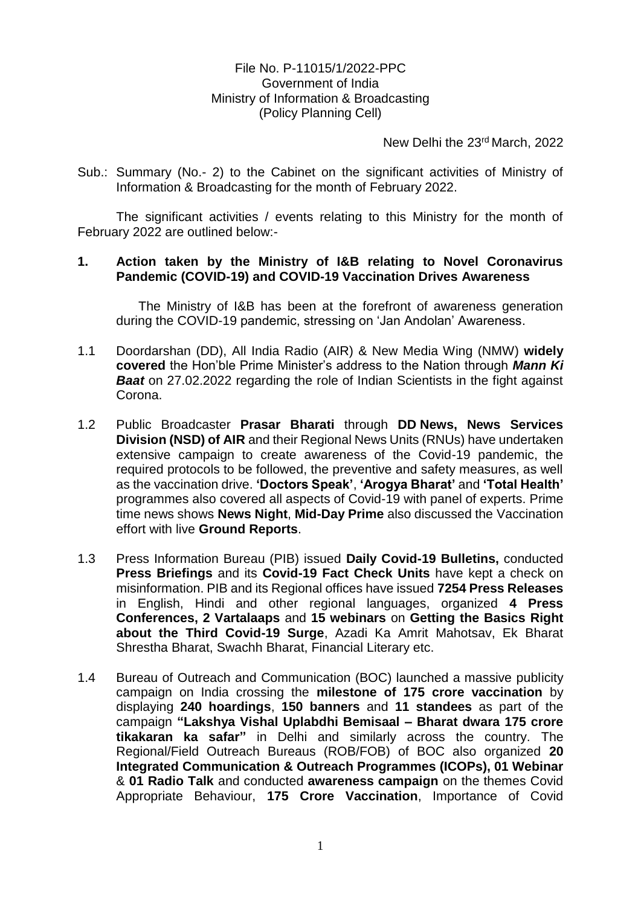## File No. P-11015/1/2022-PPC Government of India Ministry of Information & Broadcasting (Policy Planning Cell)

New Delhi the 23rd March, 2022

Sub.: Summary (No.- 2) to the Cabinet on the significant activities of Ministry of Information & Broadcasting for the month of February 2022.

The significant activities / events relating to this Ministry for the month of February 2022 are outlined below:-

## **1. Action taken by the Ministry of I&B relating to Novel Coronavirus Pandemic (COVID-19) and COVID-19 Vaccination Drives Awareness**

The Ministry of I&B has been at the forefront of awareness generation during the COVID-19 pandemic, stressing on 'Jan Andolan' Awareness.

- 1.1 Doordarshan (DD), All India Radio (AIR) & New Media Wing (NMW) **widely covered** the Hon'ble Prime Minister's address to the Nation through *Mann Ki Baat* on 27.02.2022 regarding the role of Indian Scientists in the fight against Corona.
- 1.2 Public Broadcaster **Prasar Bharati** through **DD News, News Services Division (NSD) of AIR** and their Regional News Units (RNUs) have undertaken extensive campaign to create awareness of the Covid-19 pandemic, the required protocols to be followed, the preventive and safety measures, as well as the vaccination drive. **'Doctors Speak'**, **'Arogya Bharat'** and **'Total Health'** programmes also covered all aspects of Covid-19 with panel of experts. Prime time news shows **News Night**, **Mid-Day Prime** also discussed the Vaccination effort with live **Ground Reports**.
- 1.3 Press Information Bureau (PIB) issued **Daily Covid-19 Bulletins,** conducted **Press Briefings** and its **Covid-19 Fact Check Units** have kept a check on misinformation. PIB and its Regional offices have issued **7254 Press Releases** in English, Hindi and other regional languages, organized **4 Press Conferences, 2 Vartalaaps** and **15 webinars** on **Getting the Basics Right about the Third Covid-19 Surge**, Azadi Ka Amrit Mahotsav, Ek Bharat Shrestha Bharat, Swachh Bharat, Financial Literary etc.
- 1.4 Bureau of Outreach and Communication (BOC) launched a massive publicity campaign on India crossing the **milestone of 175 crore vaccination** by displaying **240 hoardings**, **150 banners** and **11 standees** as part of the campaign **"Lakshya Vishal Uplabdhi Bemisaal – Bharat dwara 175 crore tikakaran ka safar"** in Delhi and similarly across the country. The Regional/Field Outreach Bureaus (ROB/FOB) of BOC also organized **20 Integrated Communication & Outreach Programmes (ICOPs), 01 Webinar** & **01 Radio Talk** and conducted **awareness campaign** on the themes Covid Appropriate Behaviour, **175 Crore Vaccination**, Importance of Covid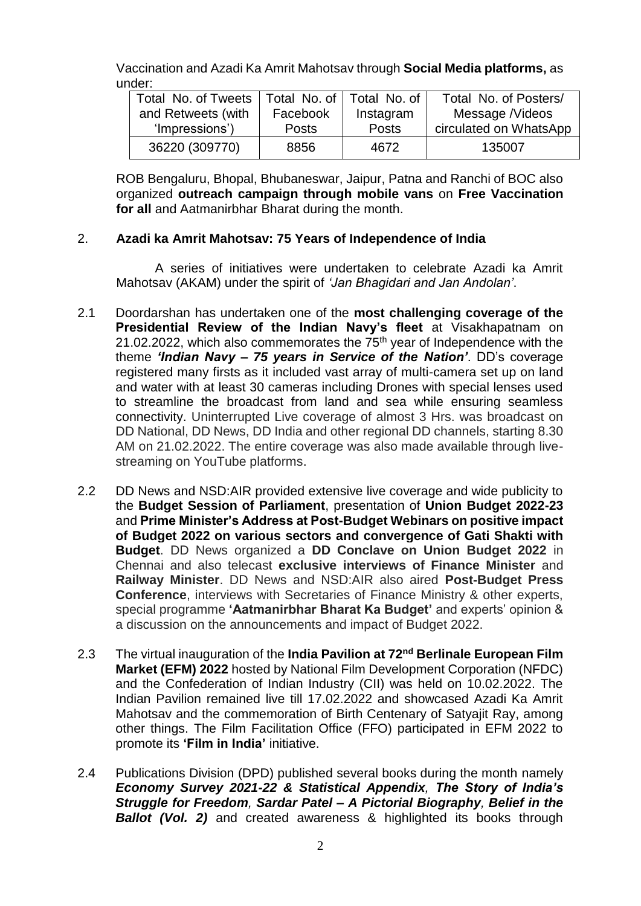Vaccination and Azadi Ka Amrit Mahotsav through **Social Media platforms,** as under:

| Total No. of Tweets | Total No. of   Total No. of |              | Total No. of Posters/  |
|---------------------|-----------------------------|--------------|------------------------|
| and Retweets (with  | Facebook                    | Instagram    | Message /Videos        |
| 'Impressions')      | <b>Posts</b>                | <b>Posts</b> | circulated on WhatsApp |
| 36220 (309770)      | 8856                        | 4672         | 135007                 |

ROB Bengaluru, Bhopal, Bhubaneswar, Jaipur, Patna and Ranchi of BOC also organized **outreach campaign through mobile vans** on **Free Vaccination for all** and Aatmanirbhar Bharat during the month.

## 2. **Azadi ka Amrit Mahotsav: 75 Years of Independence of India**

A series of initiatives were undertaken to celebrate Azadi ka Amrit Mahotsav (AKAM) under the spirit of *'Jan Bhagidari and Jan Andolan'*.

- 2.1 Doordarshan has undertaken one of the **most challenging coverage of the Presidential Review of the Indian Navy's fleet** at Visakhapatnam on 21.02.2022, which also commemorates the  $75<sup>th</sup>$  year of Independence with the theme *'Indian Navy – 75 years in Service of the Nation'*. DD's coverage registered many firsts as it included vast array of multi-camera set up on land and water with at least 30 cameras including Drones with special lenses used to streamline the broadcast from land and sea while ensuring seamless connectivity. Uninterrupted Live coverage of almost 3 Hrs. was broadcast on DD National, DD News, DD India and other regional DD channels, starting 8.30 AM on 21.02.2022. The entire coverage was also made available through livestreaming on YouTube platforms.
- 2.2 DD News and NSD:AIR provided extensive live coverage and wide publicity to the **Budget Session of Parliament**, presentation of **Union Budget 2022-23** and **Prime Minister's Address at Post-Budget Webinars on positive impact of Budget 2022 on various sectors and convergence of Gati Shakti with Budget**. DD News organized a **DD Conclave on Union Budget 2022** in Chennai and also telecast **exclusive interviews of Finance Minister** and **Railway Minister**. DD News and NSD:AIR also aired **Post-Budget Press Conference**, interviews with Secretaries of Finance Ministry & other experts, special programme **'Aatmanirbhar Bharat Ka Budget'** and experts' opinion & a discussion on the announcements and impact of Budget 2022.
- 2.3 The virtual inauguration of the **India Pavilion at 72nd Berlinale European Film Market (EFM) 2022** hosted by National Film Development Corporation (NFDC) and the Confederation of Indian Industry (CII) was held on 10.02.2022. The Indian Pavilion remained live till 17.02.2022 and showcased Azadi Ka Amrit Mahotsav and the commemoration of Birth Centenary of Satyajit Ray, among other things. The Film Facilitation Office (FFO) participated in EFM 2022 to promote its **'Film in India'** initiative.
- 2.4 Publications Division (DPD) published several books during the month namely *Economy Survey 2021-22 & Statistical Appendix, The Story of India's Struggle for Freedom, Sardar Patel – A Pictorial Biography, Belief in the Ballot (Vol. 2)* and created awareness & highlighted its books through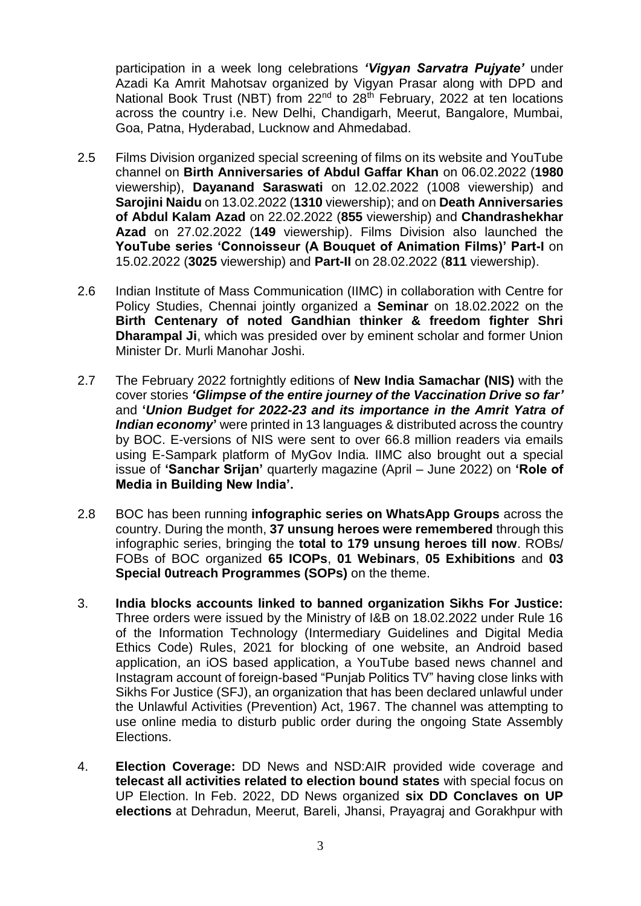participation in a week long celebrations *'Vigyan Sarvatra Pujyate'* under Azadi Ka Amrit Mahotsav organized by Vigyan Prasar along with DPD and National Book Trust (NBT) from 22<sup>nd</sup> to 28<sup>th</sup> February, 2022 at ten locations across the country i.e. New Delhi, Chandigarh, Meerut, Bangalore, Mumbai, Goa, Patna, Hyderabad, Lucknow and Ahmedabad.

- 2.5 Films Division organized special screening of films on its website and YouTube channel on **Birth Anniversaries of Abdul Gaffar Khan** on 06.02.2022 (**1980** viewership), **Dayanand Saraswati** on 12.02.2022 (1008 viewership) and **Sarojini Naidu** on 13.02.2022 (**1310** viewership); and on **Death Anniversaries of Abdul Kalam Azad** on 22.02.2022 (**855** viewership) and **Chandrashekhar Azad** on 27.02.2022 (**149** viewership). Films Division also launched the **YouTube series 'Connoisseur (A Bouquet of Animation Films)' Part-I** on 15.02.2022 (**3025** viewership) and **Part-II** on 28.02.2022 (**811** viewership).
- 2.6 Indian Institute of Mass Communication (IIMC) in collaboration with Centre for Policy Studies, Chennai jointly organized a **Seminar** on 18.02.2022 on the **Birth Centenary of noted Gandhian thinker & freedom fighter Shri Dharampal Ji**, which was presided over by eminent scholar and former Union Minister Dr. Murli Manohar Joshi.
- 2.7 The February 2022 fortnightly editions of **New India Samachar (NIS)** with the cover stories *'Glimpse of the entire journey of the Vaccination Drive so far'* and **'***Union Budget for 2022-23 and its importance in the Amrit Yatra of Indian economy* were printed in 13 languages & distributed across the country by BOC. E-versions of NIS were sent to over 66.8 million readers via emails using E-Sampark platform of MyGov India. IIMC also brought out a special issue of **'Sanchar Srijan'** quarterly magazine (April – June 2022) on **'Role of Media in Building New India'.**
- 2.8 BOC has been running **infographic series on WhatsApp Groups** across the country. During the month, **37 unsung heroes were remembered** through this infographic series, bringing the **total to 179 unsung heroes till now**. ROBs/ FOBs of BOC organized **65 ICOPs**, **01 Webinars**, **05 Exhibitions** and **03 Special 0utreach Programmes (SOPs)** on the theme.
- 3. **India blocks accounts linked to banned organization Sikhs For Justice:** Three orders were issued by the Ministry of I&B on 18.02.2022 under Rule 16 of the Information Technology (Intermediary Guidelines and Digital Media Ethics Code) Rules, 2021 for blocking of one website, an Android based application, an iOS based application, a YouTube based news channel and Instagram account of foreign-based "Punjab Politics TV" having close links with Sikhs For Justice (SFJ), an organization that has been declared unlawful under the Unlawful Activities (Prevention) Act, 1967. The channel was attempting to use online media to disturb public order during the ongoing State Assembly Elections.
- 4. **Election Coverage:** DD News and NSD:AIR provided wide coverage and **telecast all activities related to election bound states** with special focus on UP Election. In Feb. 2022, DD News organized **six DD Conclaves on UP elections** at Dehradun, Meerut, Bareli, Jhansi, Prayagraj and Gorakhpur with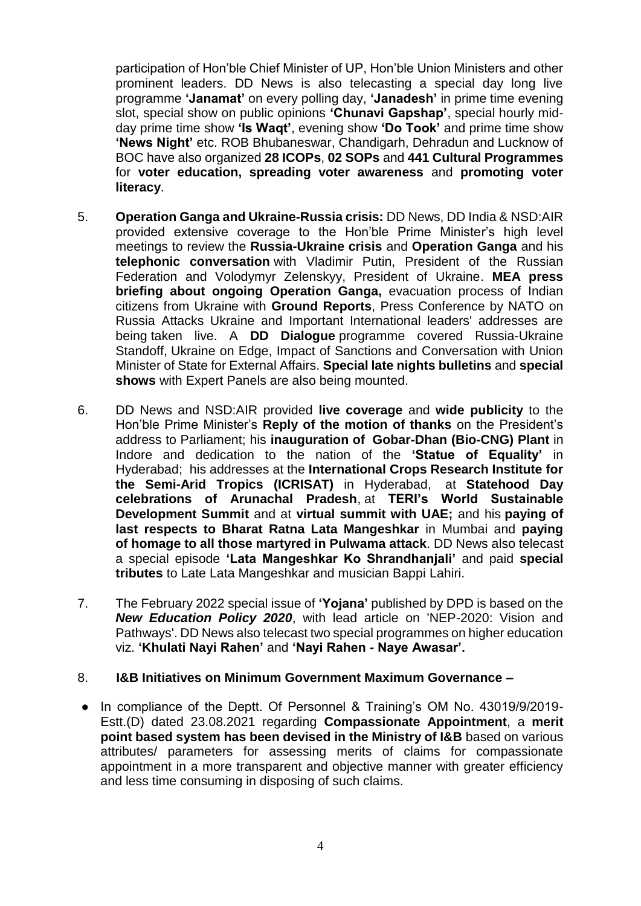participation of Hon'ble Chief Minister of UP, Hon'ble Union Ministers and other prominent leaders. DD News is also telecasting a special day long live programme **'Janamat'** on every polling day, **'Janadesh'** in prime time evening slot, special show on public opinions **'Chunavi Gapshap'**, special hourly midday prime time show **'Is Waqt'**, evening show **'Do Took'** and prime time show **'News Night'** etc. ROB Bhubaneswar, Chandigarh, Dehradun and Lucknow of BOC have also organized **28 ICOPs**, **02 SOPs** and **441 Cultural Programmes** for **voter education, spreading voter awareness** and **promoting voter literacy**.

- 5. **Operation Ganga and Ukraine-Russia crisis:** DD News, DD India & NSD:AIR provided extensive coverage to the Hon'ble Prime Minister's high level meetings to review the **Russia-Ukraine crisis** and **Operation Ganga** and his **telephonic conversation** with Vladimir Putin, President of the Russian Federation and Volodymyr Zelenskyy, President of Ukraine. **MEA press briefing about ongoing Operation Ganga,** evacuation process of Indian citizens from Ukraine with **Ground Reports**, Press Conference by NATO on Russia Attacks Ukraine and Important International leaders' addresses are being taken live. A **DD Dialogue** programme covered Russia-Ukraine Standoff, Ukraine on Edge, Impact of Sanctions and Conversation with Union Minister of State for External Affairs. **Special late nights bulletins** and **special shows** with Expert Panels are also being mounted.
- 6. DD News and NSD:AIR provided **live coverage** and **wide publicity** to the Hon'ble Prime Minister's **Reply of the motion of thanks** on the President's address to Parliament; his **inauguration of Gobar-Dhan (Bio-CNG) Plant** in Indore and dedication to the nation of the **'Statue of Equality'** in Hyderabad; his addresses at the **International Crops Research Institute for the Semi-Arid Tropics (ICRISAT)** in Hyderabad, at **Statehood Day celebrations of Arunachal Pradesh**, at **TERI's World Sustainable Development Summit** and at **virtual summit with UAE;** and his **paying of last respects to Bharat Ratna Lata Mangeshkar** in Mumbai and **paying of homage to all those martyred in Pulwama attack**. DD News also telecast a special episode **'Lata Mangeshkar Ko Shrandhanjali'** and paid **special tributes** to Late Lata Mangeshkar and musician Bappi Lahiri.
- 7. The February 2022 special issue of **'Yojana'** published by DPD is based on the *New Education Policy 2020*, with lead article on 'NEP-2020: Vision and Pathways'. DD News also telecast two special programmes on higher education viz. **'Khulati Nayi Rahen'** and **'Nayi Rahen - Naye Awasar'.**

## 8. **I&B Initiatives on Minimum Government Maximum Governance –**

● In compliance of the Deptt. Of Personnel & Training's OM No. 43019/9/2019- Estt.(D) dated 23.08.2021 regarding **Compassionate Appointment**, a **merit point based system has been devised in the Ministry of I&B** based on various attributes/ parameters for assessing merits of claims for compassionate appointment in a more transparent and objective manner with greater efficiency and less time consuming in disposing of such claims.